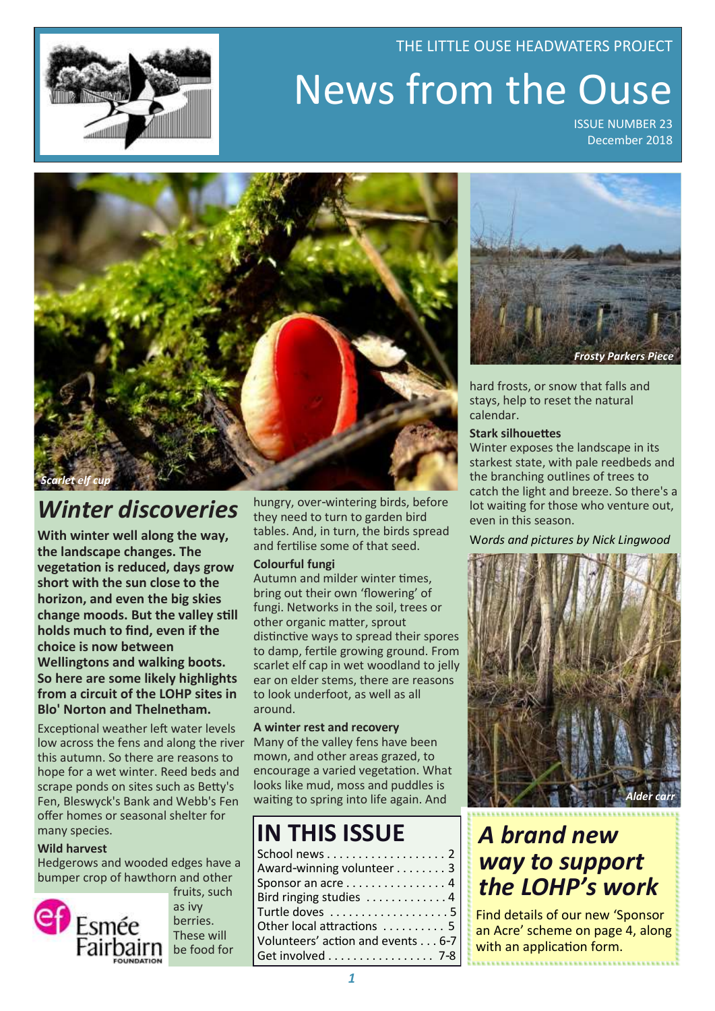# News from the Ouse ISSUE NUMBER 23

THE LITTLE OUSE HEADWATERS PROJECT

December 2018



## *Winter discoveries*

**With winter well along the way, the landscape changes. The vegetation is reduced, days grow short with the sun close to the horizon, and even the big skies change moods. But the valley still holds much to find, even if the choice is now between Wellingtons and walking boots. So here are some likely highlights from a circuit of the LOHP sites in Blo' Norton and Thelnetham.**

Exceptional weather left water levels low across the fens and along the river this autumn. So there are reasons to hope for a wet winter. Reed beds and scrape ponds on sites such as Betty's Fen, Bleswyck's Bank and Webb's Fen offer homes or seasonal shelter for many species.

### **Wild harvest**

Hedgerows and wooded edges have a bumper crop of hawthorn and other



fruits, such as ivy berries. These will be food for

hungry, over-wintering birds, before they need to turn to garden bird tables. And, in turn, the birds spread and fertilise some of that seed.

### **Colourful fungi**

Autumn and milder winter times, bring out their own 'flowering' of fungi. Networks in the soil, trees or other organic matter, sprout distinctive ways to spread their spores to damp, fertile growing ground. From scarlet elf cap in wet woodland to jelly ear on elder stems, there are reasons to look underfoot, as well as all around.

### **A winter rest and recovery**

Many of the valley fens have been mown, and other areas grazed, to encourage a varied vegetation. What looks like mud, moss and puddles is waiting to spring into life again. And

### **IN THIS ISSUE**

| School news 2<br>Award-winning volunteer 3<br>Sponsor an acre 4 |  |
|-----------------------------------------------------------------|--|
| Bird ringing studies 4                                          |  |
| Turtle doves 5                                                  |  |
| Other local attractions  5                                      |  |
| Volunteers' action and events 6-7                               |  |
| Get involved 7-8                                                |  |



hard frosts, or snow that falls and stays, help to reset the natural calendar.

### **Stark silhouettes**

Winter exposes the landscape in its starkest state, with pale reedbeds and the branching outlines of trees to catch the light and breeze. So there's a lot waiting for those who venture out, even in this season.

W*ords and pictures by Nick Lingwood*



## *A brand new way to support the LOHP's work*

Find details of our new 'Sponsor an Acre' scheme on page 4, along with an application form.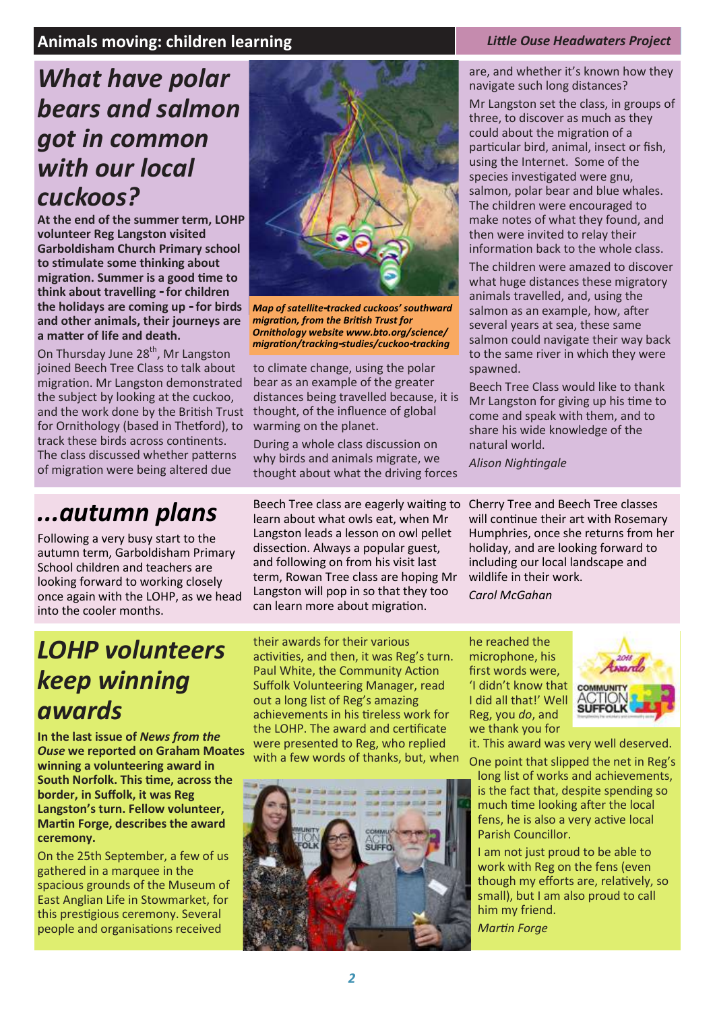### **Animals moving: children learning** *Little Ouse Little Ouse Headwaters Project Project*

### *What have polar bears and salmon got in common with our local cuckoos?*

**At the end of the summer term, LOHP volunteer Reg Langston visited Garboldisham Church Primary school to stimulate some thinking about migration. Summer is a good time to think about travelling - for children the holidays are coming up - for birds and other animals, their journeys are a matter of life and death.** 

On Thursday June 28<sup>th</sup>, Mr Langston joined Beech Tree Class to talk about migration. Mr Langston demonstrated the subject by looking at the cuckoo, and the work done by the British Trust for Ornithology (based in Thetford), to track these birds across continents. The class discussed whether patterns of migration were being altered due

### *...autumn plans*

Following a very busy start to the autumn term, Garboldisham Primary School children and teachers are looking forward to working closely once again with the LOHP, as we head into the cooler months.



*Map of satellite-tracked cuckoos' southward migration, from the British Trust for Ornithology website www.bto.org/science/ migration/tracking-studies/cuckoo-tracking*

to climate change, using the polar bear as an example of the greater distances being travelled because, it is thought, of the influence of global warming on the planet.

During a whole class discussion on why birds and animals migrate, we thought about what the driving forces

Beech Tree class are eagerly waiting to Cherry Tree and Beech Tree classes learn about what owls eat, when Mr Langston leads a lesson on owl pellet dissection. Always a popular guest, and following on from his visit last term, Rowan Tree class are hoping Mr Langston will pop in so that they too can learn more about migration.

are, and whether it's known how they navigate such long distances?

Mr Langston set the class, in groups of three, to discover as much as they could about the migration of a particular bird, animal, insect or fish, using the Internet. Some of the species investigated were gnu, salmon, polar bear and blue whales. The children were encouraged to make notes of what they found, and then were invited to relay their information back to the whole class.

The children were amazed to discover what huge distances these migratory animals travelled, and, using the salmon as an example, how, after several years at sea, these same salmon could navigate their way back to the same river in which they were spawned.

Beech Tree Class would like to thank Mr Langston for giving up his time to come and speak with them, and to share his wide knowledge of the natural world.

*Alison Nightingale* 

will continue their art with Rosemary Humphries, once she returns from her holiday, and are looking forward to including our local landscape and wildlife in their work. *Carol McGahan* 

*LOHP volunteers keep winning awards* 

**In the last issue of** *News from the Ouse* **we reported on Graham Moates winning a volunteering award in South Norfolk. This time, across the border, in Suffolk, it was Reg Langston's turn. Fellow volunteer, Martin Forge, describes the award ceremony.** 

On the 25th September, a few of us gathered in a marquee in the spacious grounds of the Museum of East Anglian Life in Stowmarket, for this prestigious ceremony. Several people and organisations received

their awards for their various activities, and then, it was Reg's turn. Paul White, the Community Action Suffolk Volunteering Manager, read out a long list of Reg's amazing achievements in his tireless work for the LOHP. The award and certificate were presented to Reg, who replied with a few words of thanks, but, when



he reached the microphone, his first words were, 'I didn't know that I did all that!' Well Reg, you *do*, and we thank you for



One point that slipped the net in Reg's long list of works and achievements, is the fact that, despite spending so much time looking after the local fens, he is also a very active local Parish Councillor.

I am not just proud to be able to work with Reg on the fens (even though my efforts are, relatively, so small), but I am also proud to call him my friend.

*Martin Forge*

it. This award was very well deserved.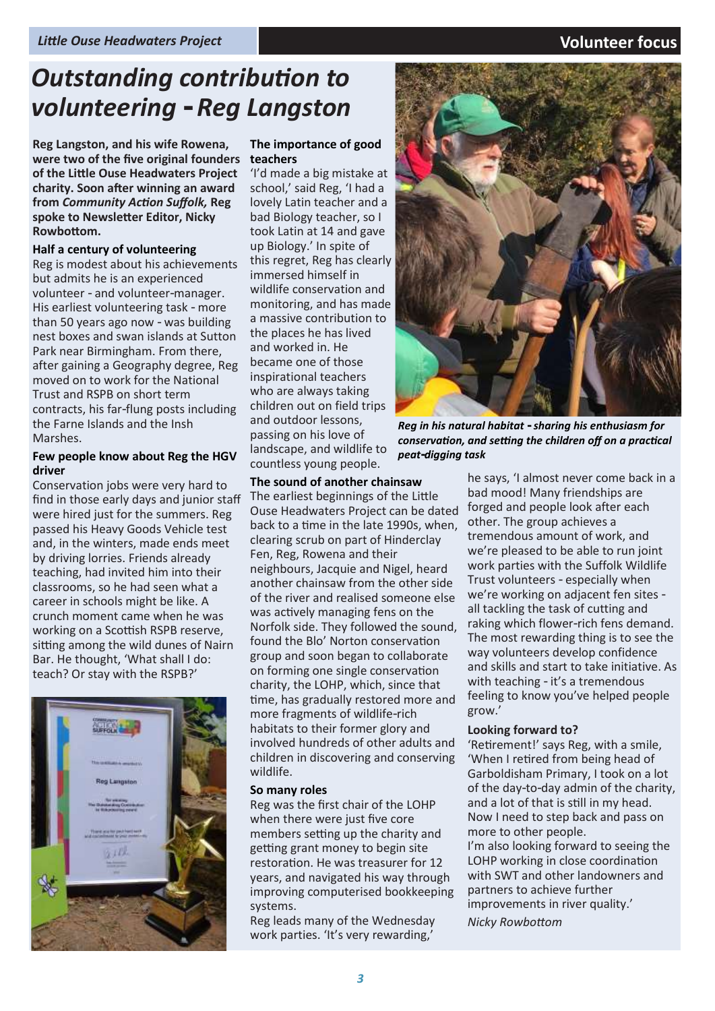### *Outstanding contribution to volunteering - Reg Langston*

**Reg Langston, and his wife Rowena, were two of the five original founders of the Little Ouse Headwaters Project charity. Soon after winning an award from** *Community Action Suffolk,* **Reg spoke to Newsletter Editor, Nicky Rowbottom.** 

#### **Half a century of volunteering**

Reg is modest about his achievements but admits he is an experienced volunteer - and volunteer-manager. His earliest volunteering task - more than 50 years ago now - was building nest boxes and swan islands at Sutton Park near Birmingham. From there, after gaining a Geography degree, Reg moved on to work for the National Trust and RSPB on short term contracts, his far-flung posts including the Farne Islands and the Insh Marshes.

#### **Few people know about Reg the HGV driver**

Conservation jobs were very hard to find in those early days and junior staff were hired just for the summers. Reg passed his Heavy Goods Vehicle test and, in the winters, made ends meet by driving lorries. Friends already teaching, had invited him into their classrooms, so he had seen what a career in schools might be like. A crunch moment came when he was working on a Scottish RSPB reserve, sitting among the wild dunes of Nairn Bar. He thought, 'What shall I do: teach? Or stay with the RSPB?'



#### **The importance of good teachers**

'I'd made a big mistake at school,' said Reg, 'I had a lovely Latin teacher and a bad Biology teacher, so I took Latin at 14 and gave up Biology.' In spite of this regret, Reg has clearly immersed himself in wildlife conservation and monitoring, and has made a massive contribution to the places he has lived and worked in. He became one of those inspirational teachers who are always taking children out on field trips and outdoor lessons, passing on his love of landscape, and wildlife to countless young people.

#### **The sound of another chainsaw**

The earliest beginnings of the Little Ouse Headwaters Project can be dated back to a time in the late 1990s, when, clearing scrub on part of Hinderclay Fen, Reg, Rowena and their neighbours, Jacquie and Nigel, heard another chainsaw from the other side of the river and realised someone else was actively managing fens on the Norfolk side. They followed the sound, found the Blo' Norton conservation group and soon began to collaborate on forming one single conservation charity, the LOHP, which, since that time, has gradually restored more and more fragments of wildlife-rich habitats to their former glory and involved hundreds of other adults and children in discovering and conserving wildlife.

#### **So many roles**

Reg was the first chair of the LOHP when there were just five core members setting up the charity and getting grant money to begin site restoration. He was treasurer for 12 years, and navigated his way through improving computerised bookkeeping systems.

Reg leads many of the Wednesday work parties. 'It's very rewarding,'



*Reg in his natural habitat - sharing his enthusiasm for conservation, and setting the children off on a practical peat-digging task*

he says, 'I almost never come back in a bad mood! Many friendships are forged and people look after each other. The group achieves a tremendous amount of work, and we're pleased to be able to run joint work parties with the Suffolk Wildlife Trust volunteers - especially when we're working on adjacent fen sites all tackling the task of cutting and raking which flower-rich fens demand. The most rewarding thing is to see the way volunteers develop confidence and skills and start to take initiative. As with teaching - it's a tremendous feeling to know you've helped people grow.'

#### **Looking forward to?**

'Retirement!' says Reg, with a smile, 'When I retired from being head of Garboldisham Primary, I took on a lot of the day-to-day admin of the charity, and a lot of that is still in my head. Now I need to step back and pass on more to other people.

I'm also looking forward to seeing the LOHP working in close coordination with SWT and other landowners and partners to achieve further improvements in river quality.'

*Nicky Rowbottom*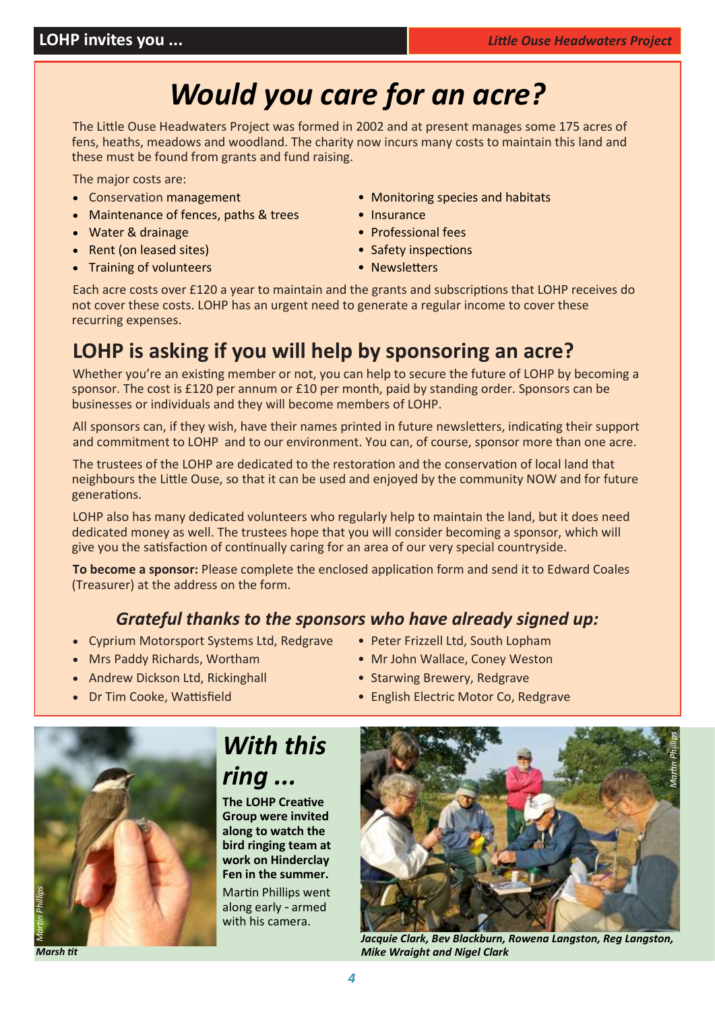*Jo Pitt*

## *Would you care for an acre?*

The Little Ouse Headwaters Project was formed in 2002 and at present manages some 175 acres of fens, heaths, meadows and woodland. The charity now incurs many costs to maintain this land and these must be found from grants and fund raising.

The major costs are:

- 
- Maintenance of fences, paths & trees Insurance
- Water & drainage Professional fees
- Rent (on leased sites) Safety inspections
- Training of volunteers Newsletters
- Conservation management Monitoring species and habitats
	-
	-
	-
	-

Each acre costs over £120 a year to maintain and the grants and subscriptions that LOHP receives do not cover these costs. LOHP has an urgent need to generate a regular income to cover these recurring expenses.

### **LOHP is asking if you will help by sponsoring an acre?**

Whether you're an existing member or not, you can help to secure the future of LOHP by becoming a sponsor. The cost is £120 per annum or £10 per month, paid by standing order. Sponsors can be businesses or individuals and they will become members of LOHP.

All sponsors can, if they wish, have their names printed in future newsletters, indicating their support and commitment to LOHP and to our environment. You can, of course, sponsor more than one acre.

The trustees of the LOHP are dedicated to the restoration and the conservation of local land that neighbours the Little Ouse, so that it can be used and enjoyed by the community NOW and for future generations.

LOHP also has many dedicated volunteers who regularly help to maintain the land, but it does need dedicated money as well. The trustees hope that you will consider becoming a sponsor, which will give you the satisfaction of continually caring for an area of our very special countryside.

**To become a sponsor:** Please complete the enclosed application form and send it to Edward Coales (Treasurer) at the address on the form.

### *Grateful thanks to the sponsors who have already signed up:*

- Cyprium Motorsport Systems Ltd, Redgrave Peter Frizzell Ltd, South Lopham
- Mrs Paddy Richards, Wortham Mr John Wallace, Coney Weston
- Andrew Dickson Ltd, Rickinghall Starwing Brewery, Redgrave
- 
- -
- 
- Dr Tim Cooke, Wattisfield  **English Electric Motor Co, Redgrave**



#### *Marsh tit*

### *With this ring ...*

**The LOHP Creative Group were invited along to watch the bird ringing team at work on Hinderclay Fen in the summer.** Martin Phillips went

along early - armed with his camera.



*Jacquie Clark, Bev Blackburn, Rowena Langston, Reg Langston, Mike Wraight and Nigel Clark*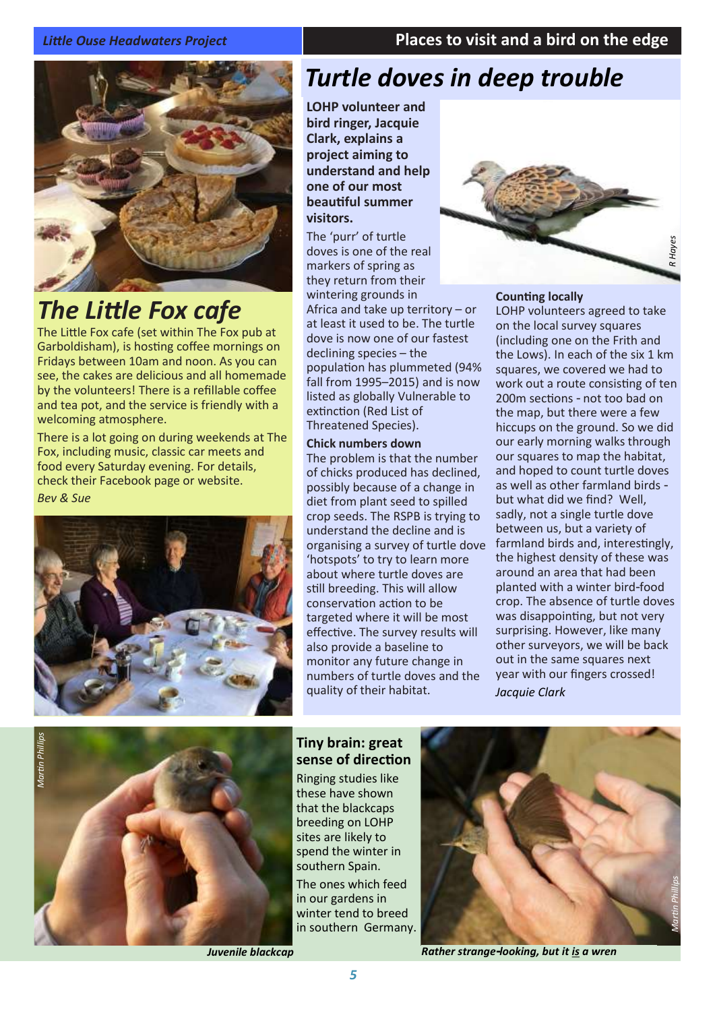### *Little Ouse Headwaters Project* **Places to visit and a bird on the edge**



## *The Little Fox cafe*

The Little Fox cafe (set within The Fox pub at Garboldisham), is hosting coffee mornings on Fridays between 10am and noon. As you can see, the cakes are delicious and all homemade by the volunteers! There is a refillable coffee and tea pot, and the service is friendly with a welcoming atmosphere.

There is a lot going on during weekends at The Fox, including music, classic car meets and food every Saturday evening. For details, check their Facebook page or website. *Bev & Sue*



### *Turtle doves in deep trouble*

**LOHP volunteer and bird ringer, Jacquie Clark, explains a project aiming to understand and help one of our most beautiful summer visitors.** 

The 'purr' of turtle doves is one of the real markers of spring as they return from their wintering grounds in Africa and take up territory – or at least it used to be. The turtle dove is now one of our fastest declining species – the population has plummeted (94% fall from 1995–2015) and is now listed as globally Vulnerable to extinction (Red List of Threatened Species).

#### **Chick numbers down**

The problem is that the number of chicks produced has declined, possibly because of a change in diet from plant seed to spilled crop seeds. The RSPB is trying to understand the decline and is organising a survey of turtle dove 'hotspots' to try to learn more about where turtle doves are still breeding. This will allow conservation action to be targeted where it will be most effective. The survey results will also provide a baseline to monitor any future change in numbers of turtle doves and the quality of their habitat.



*R Hayes*

#### **Counting locally**

LOHP volunteers agreed to take on the local survey squares (including one on the Frith and the Lows). In each of the six 1 km squares, we covered we had to work out a route consisting of ten 200m sections - not too bad on the map, but there were a few hiccups on the ground. So we did our early morning walks through our squares to map the habitat, and hoped to count turtle doves as well as other farmland birds but what did we find? Well, sadly, not a single turtle dove between us, but a variety of farmland birds and, interestingly, the highest density of these was around an area that had been planted with a winter bird-food crop. The absence of turtle doves was disappointing, but not very surprising. However, like many other surveyors, we will be back out in the same squares next year with our fingers crossed! *Jacquie Clark*



*Juvenile blackcap* 



*Rather strange-looking, but it is a wren*

**Tiny brain: great sense of direction** Ringing studies like these have shown that the blackcaps breeding on LOHP sites are likely to spend the winter in southern Spain. The ones which feed in our gardens in winter tend to breed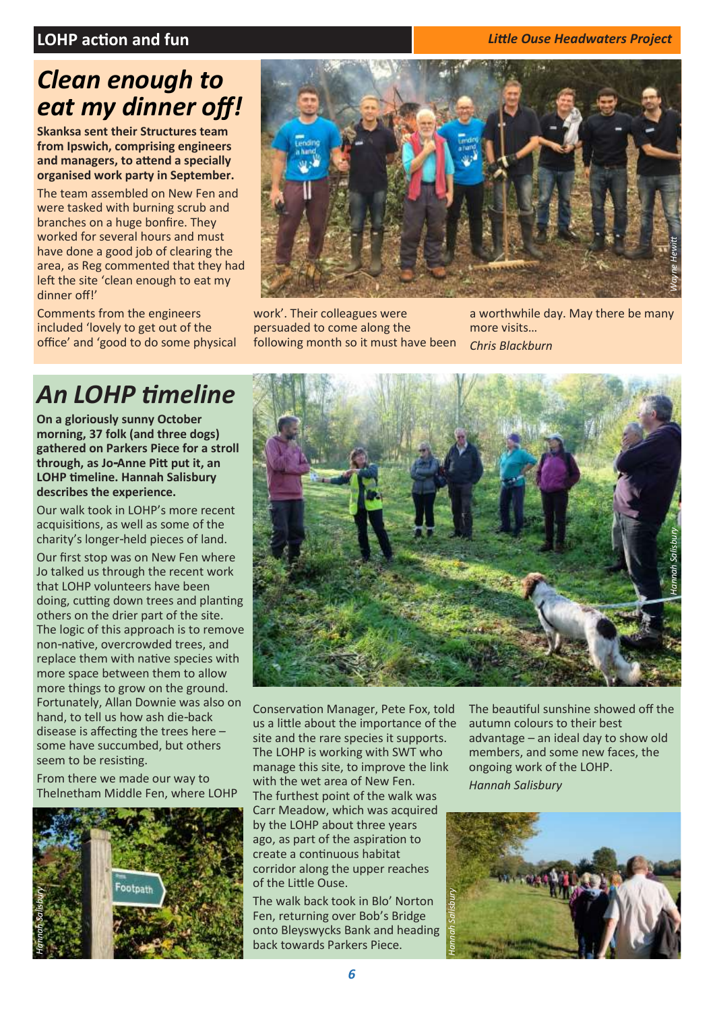### **LOHP action and fun** *Little Ouse Headwaters Project*

### *Clean enough to eat my dinner off!*

**Skanksa sent their Structures team from Ipswich, comprising engineers and managers, to attend a specially organised work party in September.**

The team assembled on New Fen and were tasked with burning scrub and branches on a huge bonfire. They worked for several hours and must have done a good job of clearing the area, as Reg commented that they had left the site 'clean enough to eat my dinner off!'

Comments from the engineers included 'lovely to get out of the office' and 'good to do some physical



work'. Their colleagues were persuaded to come along the following month so it must have been a worthwhile day. May there be many more visits… *Chris Blackburn*

## *An LOHP timeline*

**On a gloriously sunny October morning, 37 folk (and three dogs) gathered on Parkers Piece for a stroll through, as Jo-Anne Pitt put it, an LOHP timeline. Hannah Salisbury describes the experience.** 

Our walk took in LOHP's more recent acquisitions, as well as some of the charity's longer-held pieces of land.

Our first stop was on New Fen where Jo talked us through the recent work that LOHP volunteers have been doing, cutting down trees and planting others on the drier part of the site. The logic of this approach is to remove non-native, overcrowded trees, and replace them with native species with more space between them to allow more things to grow on the ground. Fortunately, Allan Downie was also on hand, to tell us how ash die-back disease is affecting the trees here – some have succumbed, but others seem to be resisting.

From there we made our way to Thelnetham Middle Fen, where LOHP





Conservation Manager, Pete Fox, told us a little about the importance of the site and the rare species it supports. The LOHP is working with SWT who manage this site, to improve the link with the wet area of New Fen. The furthest point of the walk was Carr Meadow, which was acquired by the LOHP about three years ago, as part of the aspiration to create a continuous habitat corridor along the upper reaches of the Little Ouse.

The walk back took in Blo' Norton Fen, returning over Bob's Bridge onto Bleyswycks Bank and heading back towards Parkers Piece.

The beautiful sunshine showed off the autumn colours to their best advantage – an ideal day to show old members, and some new faces, the ongoing work of the LOHP. *Hannah Salisbury* 

*Rowena Langston Hannah Salisbury*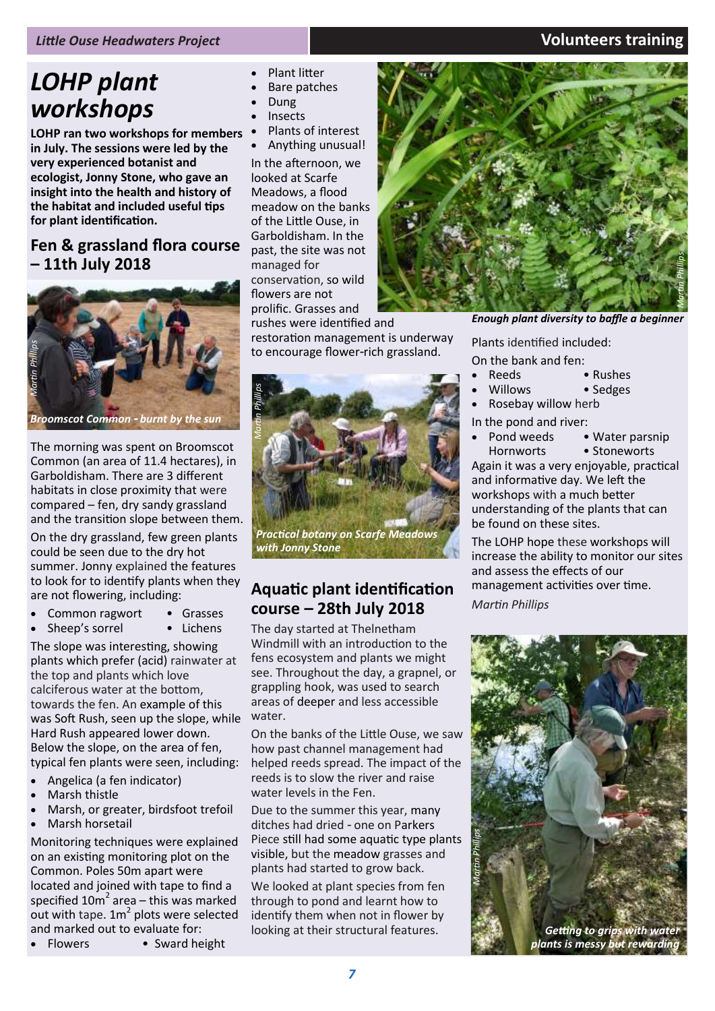### *LOHP plant workshops*

**LOHP ran two workshops for members in July. The sessions were led by the very experienced botanist and ecologist, Jonny Stone, who gave an insight into the health and history of the habitat and included useful tips for plant identification.** 

### **Fen & grassland flora course – 11th July 2018**



*Broomscot Common - burnt by the sun*

The morning was spent on [Broomscot](http://www.lohp.org.uk/our-sites/broomscot-common)  [Common \(](http://www.lohp.org.uk/our-sites/broomscot-common)an area of 11.4 hectares), in Garboldisham. There are 3 different habitats in close proximity that were compared – fen, dry sandy grassland and the transition slope between them.

On the dry grassland, few green plants could be seen due to the dry hot summer. Jonny explained the features to look for to identify plants when they are not flowering, including:

- 
- **Common ragwort Grasses Sheen's sorrel Lichens** Sheep's sorrel

plants which preter (acid) rain<br>the top and plants which love<br>calciferous water at the bottor<br>towards the fen. An example o The slope was interesting, showing plants which prefer (acid) rainwater at calciferous water at the bottom, towards the fen. An example of this was Soft Rush, seen up the slope, while Hard Rush appeared lower down. Below the slope, on the area of fen, typical fen plants were seen, including:

- Angelica (a fen indicator)
- Marsh thistle
- Marsh, or greater, birdsfoot trefoil
- Marsh horsetail

Monitoring techniques were explained on an existing monitoring plot on the Common. Poles 50m apart were located and joined with tape to find a specified  $10m^2$  area – this was marked out with tape.  $1m^2$  plots were selected and marked out to evaluate for:

• Flowers • Sward height

- Plant litter
- Bare patches
- Dung
- **Insects**
- Plants of interest • Anything unusual!

In the afternoon, we looked at [Scarfe](http://www.lohp.org.uk/our-sites/scarfe-meadows)  [Meadows,](http://www.lohp.org.uk/our-sites/scarfe-meadows) a flood meadow on the banks of the Little Ouse, in Garboldisham. In the past, the site was not managed for conservation, so wild flowers are not prolific. Grasses and rushes were identified and

restoration management is underway to encourage flower-rich grassland.



*Practical botany on Scarfe Meadows with Jonny Stone*

### **Aquatic plant identification course – 28th July 2018**

The day started at Thelnetham Windmill with an introduction to the fens ecosystem and plants we might see. Throughout the day, a grapnel, or grappling hook, was used to search areas of deeper and less accessible water.

On the banks of the Little Ouse, we saw how past channel management had helped reeds spread. The impact of the reeds is to slow the river and raise water levels in the Fen.

Due to the summer this year, many ditches had dried - one on Parkers Piece still had some aquatic type plants visible, but the meadow grasses and plants had started to grow back.

We looked at plant species from fen through to pond and learnt how to identify them when not in flower by looking at their structural features.



*Enough plant diversity to baffle a beginner* 

Plants identified included:

- On the bank and fen:
	- Reeds Rushes
	- Willows Sedges
- Rosebay willow herb
- In the pond and river:
	- Pond weeds Water parsnip

Hornworts • Stoneworts Again it was a very enjoyable, practical and informative day. We left the workshops with a much better understanding of the plants that can be found on these sites.

The LOHP hope these workshops will increase the ability to monitor our sites and assess the effects of our management activities over time.

*Martin Phillips*



**plants is messy but reward**